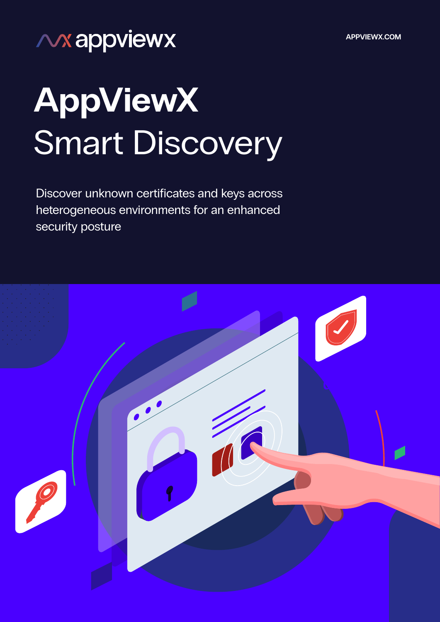**APPVIEWX.COM**

# **NX appviewx**

# **AppViewX**  Smart Discovery

Discover unknown certificates and keys across heterogeneous environments for an enhanced security posture

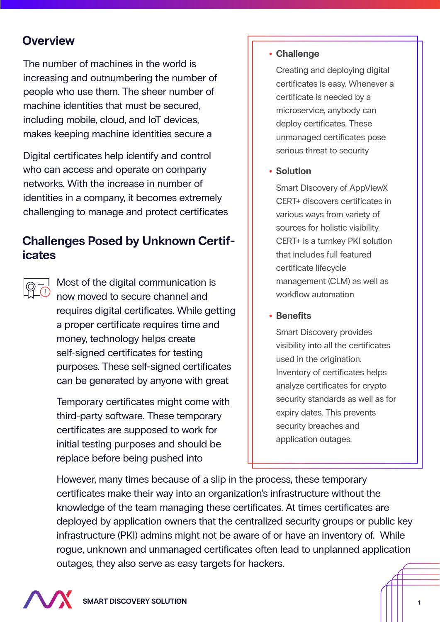# **Overview**

The number of machines in the world is increasing and outnumbering the number of people who use them. The sheer number of machine identities that must be secured, including mobile, cloud, and IoT devices, makes keeping machine identities secure a

Digital certificates help identify and control who can access and operate on company networks. With the increase in number of identities in a company, it becomes extremely challenging to manage and protect certificates

# **Challenges Posed by Unknown Certificates**

Most of the digital communication is now moved to secure channel and requires digital certificates. While getting a proper certificate requires time and money, technology helps create self-signed certificates for testing purposes. These self-signed certificates can be generated by anyone with great

Temporary certificates might come with third-party software. These temporary certificates are supposed to work for initial testing purposes and should be replace before being pushed into

#### **Challenge**

Creating and deploying digital certificates is easy. Whenever a certificate is needed by a microservice, anybody can deploy certificates. These unmanaged certificates pose serious threat to security

**• Solution** 

Smart Discovery of AppViewX CERT+ discovers certificates in various ways from variety of sources for holistic visibility. CERT+ is a turnkey PKI solution that includes full featured certificate lifecycle management (CLM) as well as workflow automation

#### **• Benefits**

Smart Discovery provides visibility into all the certificates used in the origination. Inventory of certificates helps analyze certificates for crypto security standards as well as for expiry dates. This prevents security breaches and application outages.

However, many times because of a slip in the process, these temporary certificates make their way into an organization's infrastructure without the knowledge of the team managing these certificates. At times certificates are deployed by application owners that the centralized security groups or public key infrastructure (PKI) admins might not be aware of or have an inventory of. While rogue, unknown and unmanaged certificates often lead to unplanned application outages, they also serve as easy targets for hackers.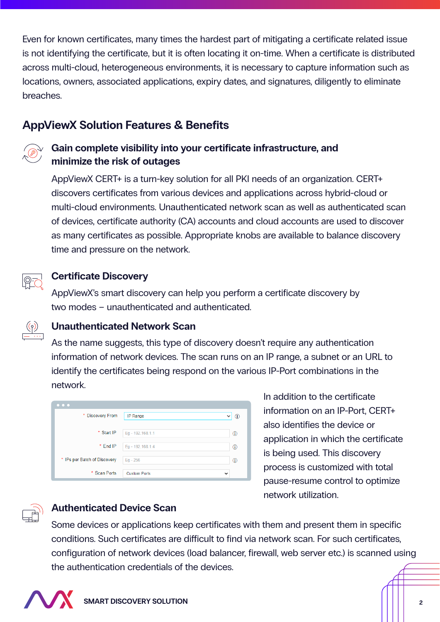Even for known certificates, many times the hardest part of mitigating a certificate related issue is not identifying the certificate, but it is often locating it on-time. When a certificate is distributed across multi-cloud, heterogeneous environments, it is necessary to capture information such as locations, owners, associated applications, expiry dates, and signatures, diligently to eliminate breaches.

# **AppViewX Solution Features & Benefits**



### Gain complete visibility into your certificate infrastructure, and **minimize the risk of outages**

AppViewX CERT+ is a turn-key solution for all PKI needs of an organization. CERT+ discovers certificates from various devices and applications across hybrid-cloud or multi-cloud environments. Unauthenticated network scan as well as authenticated scan of devices, certificate authority (CA) accounts and cloud accounts are used to discover as many certificates as possible. Appropriate knobs are available to balance discovery time and pressure on the network.



#### **Certificate Discovery**

AppViewX's smart discovery can help you perform a certificate discovery by two modes – unauthenticated and authenticated.

#### **Unauthenticated Network Scan**

As the name suggests, this type of discovery doesn't require any authentication information of network devices. The scan runs on an IP range, a subnet or an URL to identify the certificates being respond on the various IP-Port combinations in the network.

| $\bullet\hspace{0.4mm}\bullet\hspace{0.4mm}\bullet\hspace{0.4mm}\bullet$ |                                     |   |
|--------------------------------------------------------------------------|-------------------------------------|---|
| * Discovery From                                                         | <b>IP Range</b>                     |   |
| * Start IP                                                               | Eg - 192.168.1.1                    | ⊕ |
| * End IP                                                                 | Eq - 192.168.1.4                    | ⊕ |
| * IPs per Batch of Discovery                                             | $Eq - 256$                          | ⋒ |
| * Scan Ports                                                             | <b>Custom Ports</b><br>$\checkmark$ |   |

In addition to the certificate information on an IP-Port, CERT+ also identifies the device or application in which the certificate is being used. This discovery process is customized with total pause-resume control to optimize network utilization.



#### **Authenticated Device Scan**

Some devices or applications keep certificates with them and present them in specific conditions. Such certificates are difficult to find via network scan. For such certificates, configuration of network devices (load balancer, firewall, web server etc.) is scanned using the authentication credentials of the devices.

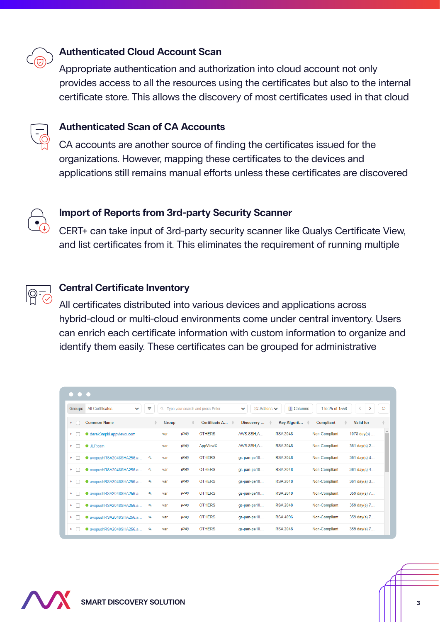

#### **Authenticated Cloud Account Scan**

Appropriate authentication and authorization into cloud account not only provides access to all the resources using the certificates but also to the internal certificate store. This allows the discovery of most certificates used in that cloud



#### **Authenticated Scan of CA Accounts**

CA accounts are another source of finding the certificates issued for the organizations. However, mapping these certificates to the devices and applications still remains manual efforts unless these certificates are discovered



#### **Import of Reports from 3rd-party Security Scanner**

CERT+ can take input of 3rd-party security scanner like Qualys Certificate View, and list certificates from it. This eliminates the requirement of running multiple



#### **Central Certificate Inventory**

All certificates distributed into various devices and applications across hybrid-cloud or multi-cloud environments come under central inventory. Users can enrich each certificate information with custom information to organize and identify them easily. These certificates can be grouped for administrative

| $\bullet\,\bullet\,\bullet$                              |               |      |                                  |                                    |                    |                  |                        |
|----------------------------------------------------------|---------------|------|----------------------------------|------------------------------------|--------------------|------------------|------------------------|
| <b>All Certificates</b><br><b>Groups</b><br>$\checkmark$ | Ψ<br>$\alpha$ |      | Type your search and press Enter | <b>B</b> Actions <del>∨</del><br>v | <b>III</b> Columns | 1 to 25 of 1558  |                        |
| <b>Common Name</b><br>$\cdot$ $\Gamma$                   | <b>Group</b>  |      | Certificate A                    | Discovery                          | Key Algorit        | <b>Compliant</b> | <b>Valid for</b>       |
| derek3mpki.appviewx.com<br>$\cdot$ $\Gamma$              | var           | (RW) | <b>OTHERS</b>                    | AWS.SSH.A                          | <b>RSA 2048</b>    | Non-Compliant    | 1078 $day(s)$          |
| $\bullet$ JLP.com<br>▸ ⊓                                 | var           | (RW) | AppViewX                         | AWS.SSH.A                          | <b>RSA 2048</b>    | Non-Compliant    | $361 \text{ day(s)} 2$ |
| avxpushRSA2048SHA256.a<br>$\cdot$ $\Gamma$               | ۹<br>var      | (RW) | <b>OTHERS</b>                    | gs-pan-pe10                        | <b>RSA 2048</b>    | Non-Compliant    | $361 \text{ day(s)} 4$ |
| avxpushRSA2048SHA256.a<br>$\cdot$ $\cdot$                | ۹<br>var      | (RW) | <b>OTHERS</b>                    | gs-pan-pe10                        | <b>RSA 2048</b>    | Non-Compliant    | 361 day(s) 4           |
| avxpushRSA2048SHA256.a<br>$\cdot$ $\Gamma$               | ۹<br>var      | (RW) | <b>OTHERS</b>                    | gs-pan-pe10                        | <b>RSA 2048</b>    | Non-Compliant    | $361 \text{ day(s)} 3$ |
| avxpushRSA2048SHA256.a<br>$\cdot$ $\Gamma$               | ۹<br>var      | (RW) | <b>OTHERS</b>                    | gs-pan-pe10                        | <b>RSA 2048</b>    | Non-Compliant    | 359 day(s) 7           |
| avxpushRSA2048SHA256.a<br>▸ ┌                            | ۹<br>var      | (RW) | <b>OTHERS</b>                    | gs-pan-pe10                        | <b>RSA 2048</b>    | Non-Compliant    | 359 day(s) 7           |
| avxpushRSA2048SHA256.a<br>$\cdot$ $\Gamma$               | ۹<br>var      | (RW) | <b>OTHERS</b>                    | gs-pan-pe10                        | <b>RSA 4096</b>    | Non-Compliant    | 359 day(s) 7           |
| avxpushRSA2048SHA256.a<br>$\cdot$ $\Gamma$               | ۹<br>var      | (RW) | <b>OTHERS</b>                    | gs-pan-pe10                        | <b>RSA 2048</b>    | Non-Compliant    | 359 day(s) $7$         |

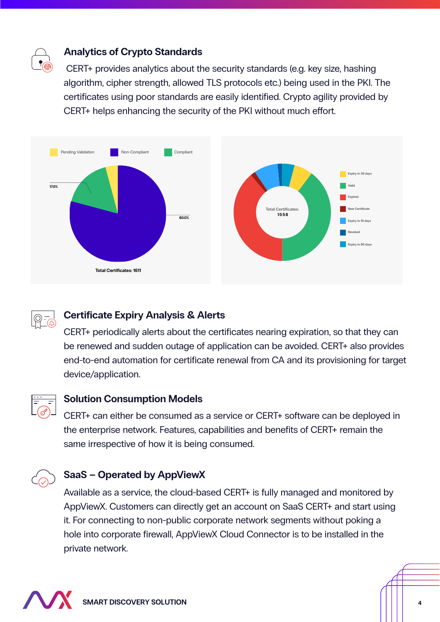

#### **Analytics of Crypto Standards**

 CERT+ provides analytics about the security standards (e.g. key size, hashing algorithm, cipher strength, allowed TLS protocols etc.) being used in the PKI. The certificates using poor standards are easily identified. Crypto agility provided by CERT+ helps enhancing the security of the PKI without much effort.





#### **Certificate Expiry Analysis & Alerts**

CERT+ periodically alerts about the certificates nearing expiration, so that they can be renewed and sudden outage of application can be avoided. CERT+ also provides end-to-end automation for certificate renewal from CA and its provisioning for target device/application.



#### **Solution Consumption Models**

CERT+ can either be consumed as a service or CERT+ software can be deployed in the enterprise network. Features, capabilities and benefits of CERT+ remain the same irrespective of how it is being consumed.



#### **SaaS – Operated by AppViewX**

Available as a service, the cloud-based CERT+ is fully managed and monitored by AppViewX. Customers can directly get an account on SaaS CERT+ and start using it. For connecting to non-public corporate network segments without poking a hole into corporate firewall, AppViewX Cloud Connector is to be installed in the private network.